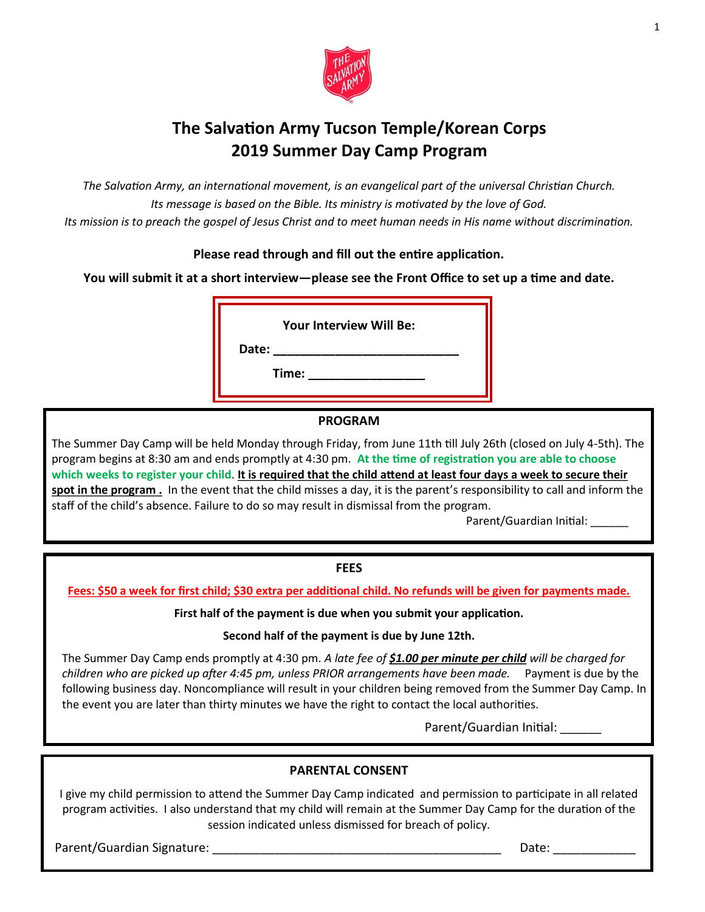

## **The Salvation Army Tucson Temple/Korean Corps 2019 Summer Day Camp Program**

*The Salvation Army, an international movement, is an evangelical part of the universal Christian Church. Its message is based on the Bible. Its ministry is motivated by the love of God. Its mission is to preach the gospel of Jesus Christ and to meet human needs in His name without discrimination.*

### **Please read through and fill out the entire application.**

**You will submit it at a short interview—please see the Front Office to set up a time and date.** 

**Your Interview Will Be:**

**Date: \_\_\_\_\_\_\_\_\_\_\_\_\_\_\_\_\_\_\_\_\_\_\_\_\_\_\_**

**Time: \_\_\_\_\_\_\_\_\_\_\_\_\_\_\_\_\_**

## **PROGRAM**

The Summer Day Camp will be held Monday through Friday, from June 11th till July 26th (closed on July 4-5th). The program begins at 8:30 am and ends promptly at 4:30 pm. **At the time of registration you are able to choose which weeks to register your child**. **It is required that the child attend at least four days a week to secure their spot in the program .** In the event that the child misses a day, it is the parent's responsibility to call and inform the staff of the child's absence. Failure to do so may result in dismissal from the program.

Parent/Guardian Initial:

### **FEES**

**Fees: \$50 a week for first child; \$30 extra per additional child. No refunds will be given for payments made.**

**First half of the payment is due when you submit your application.**

**Second half of the payment is due by June 12th.**

The Summer Day Camp ends promptly at 4:30 pm. *A late fee of \$1.00 per minute per child will be charged for children who are picked up after 4:45 pm, unless PRIOR arrangements have been made.* Payment is due by the following business day. Noncompliance will result in your children being removed from the Summer Day Camp. In the event you are later than thirty minutes we have the right to contact the local authorities.

Parent/Guardian Initial:

### **PARENTAL CONSENT**

I give my child permission to attend the Summer Day Camp indicated and permission to participate in all related program activities. I also understand that my child will remain at the Summer Day Camp for the duration of the session indicated unless dismissed for breach of policy.

Parent/Guardian Signature: \_\_\_\_\_\_\_\_\_\_\_\_\_\_\_\_\_\_\_\_\_\_\_\_\_\_\_\_\_\_\_\_\_\_\_\_\_\_\_\_\_\_ Date: \_\_\_\_\_\_\_\_\_\_\_\_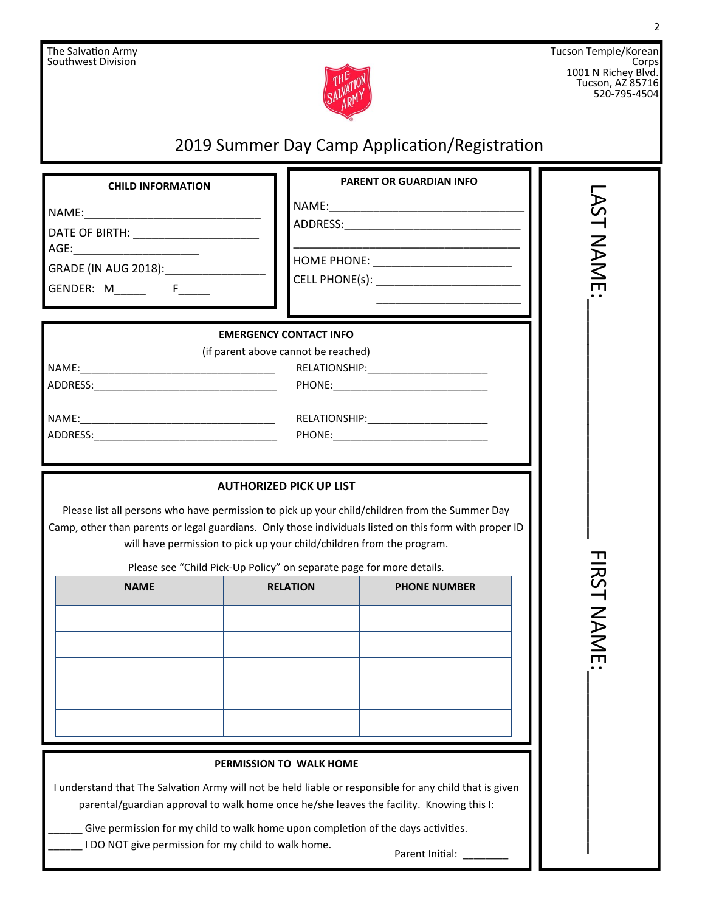

Tucson Temple/Korean Corps 1001 N Richey Blvd. Tucson, AZ 85716 520-795-4504

# 2019 Summer Day Camp Application/Registration

| <b>CHILD INFORMATION</b>                                                                                                                                                                                 | <b>PARENT OR GUARDIAN INFO</b>                                                                                                                                                                      |      |
|----------------------------------------------------------------------------------------------------------------------------------------------------------------------------------------------------------|-----------------------------------------------------------------------------------------------------------------------------------------------------------------------------------------------------|------|
|                                                                                                                                                                                                          |                                                                                                                                                                                                     |      |
|                                                                                                                                                                                                          |                                                                                                                                                                                                     |      |
|                                                                                                                                                                                                          |                                                                                                                                                                                                     | NAME |
| GRADE (IN AUG 2018): ___________________                                                                                                                                                                 | HOME PHONE: __________________________                                                                                                                                                              |      |
| GENDER: M_______  F______                                                                                                                                                                                |                                                                                                                                                                                                     |      |
|                                                                                                                                                                                                          |                                                                                                                                                                                                     |      |
|                                                                                                                                                                                                          | <b>EMERGENCY CONTACT INFO</b><br>(if parent above cannot be reached)                                                                                                                                |      |
|                                                                                                                                                                                                          |                                                                                                                                                                                                     |      |
|                                                                                                                                                                                                          |                                                                                                                                                                                                     |      |
|                                                                                                                                                                                                          |                                                                                                                                                                                                     |      |
|                                                                                                                                                                                                          |                                                                                                                                                                                                     |      |
|                                                                                                                                                                                                          |                                                                                                                                                                                                     |      |
|                                                                                                                                                                                                          |                                                                                                                                                                                                     |      |
| Please list all persons who have permission to pick up your child/children from the Summer Day<br>Camp, other than parents or legal guardians. Only those individuals listed on this form with proper ID | will have permission to pick up your child/children from the program.<br>Please see "Child Pick-Up Policy" on separate page for more details.                                                       |      |
| <b>NAME</b>                                                                                                                                                                                              | <b>RELATION</b><br><b>PHONE NUMBER</b>                                                                                                                                                              |      |
|                                                                                                                                                                                                          |                                                                                                                                                                                                     |      |
|                                                                                                                                                                                                          |                                                                                                                                                                                                     |      |
|                                                                                                                                                                                                          |                                                                                                                                                                                                     |      |
|                                                                                                                                                                                                          |                                                                                                                                                                                                     |      |
|                                                                                                                                                                                                          |                                                                                                                                                                                                     |      |
|                                                                                                                                                                                                          | PERMISSION TO WALK HOME                                                                                                                                                                             |      |
|                                                                                                                                                                                                          | I understand that The Salvation Army will not be held liable or responsible for any child that is given<br>parental/guardian approval to walk home once he/she leaves the facility. Knowing this I: |      |
| Give permission for my child to walk home upon completion of the days activities.                                                                                                                        |                                                                                                                                                                                                     |      |
| I DO NOT give permission for my child to walk home.                                                                                                                                                      | Parent Initial:                                                                                                                                                                                     |      |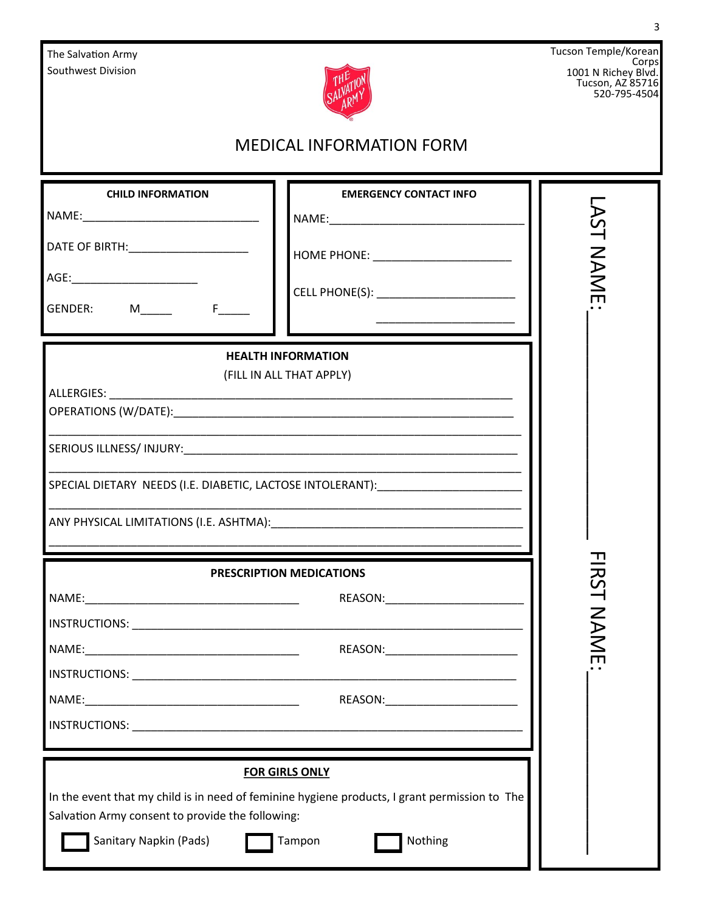| The Salvation Army<br>Southwest Division                                                                                                                                                                                  |                                                                                                                                                                                                    | Tucson Temple/Korean<br>Corps<br>1001 N Richey Blvd.<br>Tucson, AZ 85716<br>520-795-4504 |
|---------------------------------------------------------------------------------------------------------------------------------------------------------------------------------------------------------------------------|----------------------------------------------------------------------------------------------------------------------------------------------------------------------------------------------------|------------------------------------------------------------------------------------------|
| <b>MEDICAL INFORMATION FORM</b>                                                                                                                                                                                           |                                                                                                                                                                                                    |                                                                                          |
| <b>CHILD INFORMATION</b><br>GENDER: M______ F____                                                                                                                                                                         | <b>EMERGENCY CONTACT INFO</b><br>CELL PHONE(S): __________________________<br><u> 1990 - Johann John Harry Harry Harry Harry Harry Harry Harry Harry Harry Harry Harry Harry Harry Harry Harry</u> | NAME                                                                                     |
| ALLERGIES: ALLERGIES                                                                                                                                                                                                      | <b>HEALTH INFORMATION</b><br>(FILL IN ALL THAT APPLY)<br>SPECIAL DIETARY NEEDS (I.E. DIABETIC, LACTOSE INTOLERANT): NAMED AND RELATED ASSESSED.                                                    |                                                                                          |
| PRESCRIPTION MEDICATIONS                                                                                                                                                                                                  |                                                                                                                                                                                                    | 一<br>こ<br>2<br><b>NAME</b>                                                               |
|                                                                                                                                                                                                                           | REASON: _______________________                                                                                                                                                                    |                                                                                          |
| <b>FOR GIRLS ONLY</b><br>In the event that my child is in need of feminine hygiene products, I grant permission to The<br>Salvation Army consent to provide the following:<br>Sanitary Napkin (Pads)<br>Tampon<br>Nothing |                                                                                                                                                                                                    |                                                                                          |

3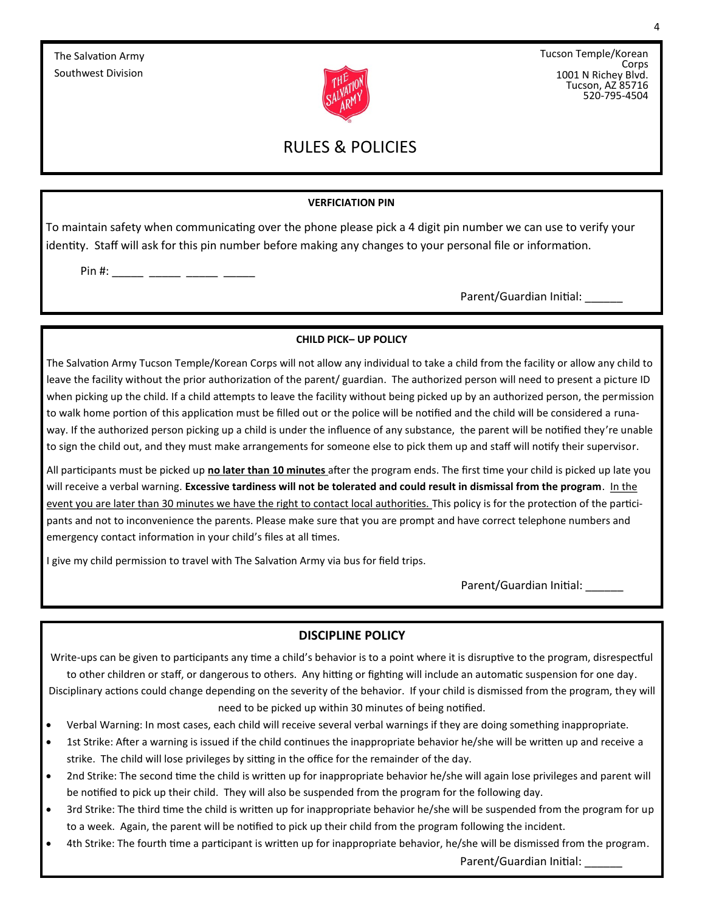

Tucson Temple/Korean Corps 1001 N Richey Blvd. Tucson, AZ 85716 520-795-4504

## RULES & POLICIES

#### **VERFICIATION PIN**

To maintain safety when communicating over the phone please pick a 4 digit pin number we can use to verify your identity. Staff will ask for this pin number before making any changes to your personal file or information.

Pin #: \_\_\_\_\_\_ \_\_\_\_\_\_ \_\_\_\_\_\_ \_\_\_\_\_\_

Parent/Guardian Initial:

#### **CHILD PICK– UP POLICY**

The Salvation Army Tucson Temple/Korean Corps will not allow any individual to take a child from the facility or allow any child to leave the facility without the prior authorization of the parent/ guardian. The authorized person will need to present a picture ID when picking up the child. If a child attempts to leave the facility without being picked up by an authorized person, the permission to walk home portion of this application must be filled out or the police will be notified and the child will be considered a runaway. If the authorized person picking up a child is under the influence of any substance, the parent will be notified they're unable to sign the child out, and they must make arrangements for someone else to pick them up and staff will notify their supervisor.

All participants must be picked up **no later than 10 minutes** after the program ends. The first time your child is picked up late you will receive a verbal warning. **Excessive tardiness will not be tolerated and could result in dismissal from the program**. In the event you are later than 30 minutes we have the right to contact local authorities. This policy is for the protection of the participants and not to inconvenience the parents. Please make sure that you are prompt and have correct telephone numbers and emergency contact information in your child's files at all times.

I give my child permission to travel with The Salvation Army via bus for field trips.

Parent/Guardian Initial:

#### **DISCIPLINE POLICY**

Write-ups can be given to participants any time a child's behavior is to a point where it is disruptive to the program, disrespectful to other children or staff, or dangerous to others. Any hitting or fighting will include an automatic suspension for one day. Disciplinary actions could change depending on the severity of the behavior. If your child is dismissed from the program, they will need to be picked up within 30 minutes of being notified.

- Verbal Warning: In most cases, each child will receive several verbal warnings if they are doing something inappropriate.
- 1st Strike: After a warning is issued if the child continues the inappropriate behavior he/she will be written up and receive a strike. The child will lose privileges by sitting in the office for the remainder of the day.
- 2nd Strike: The second time the child is written up for inappropriate behavior he/she will again lose privileges and parent will be notified to pick up their child. They will also be suspended from the program for the following day.
- 3rd Strike: The third time the child is written up for inappropriate behavior he/she will be suspended from the program for up to a week. Again, the parent will be notified to pick up their child from the program following the incident.
- 4th Strike: The fourth time a participant is written up for inappropriate behavior, he/she will be dismissed from the program. Parent/Guardian Initial: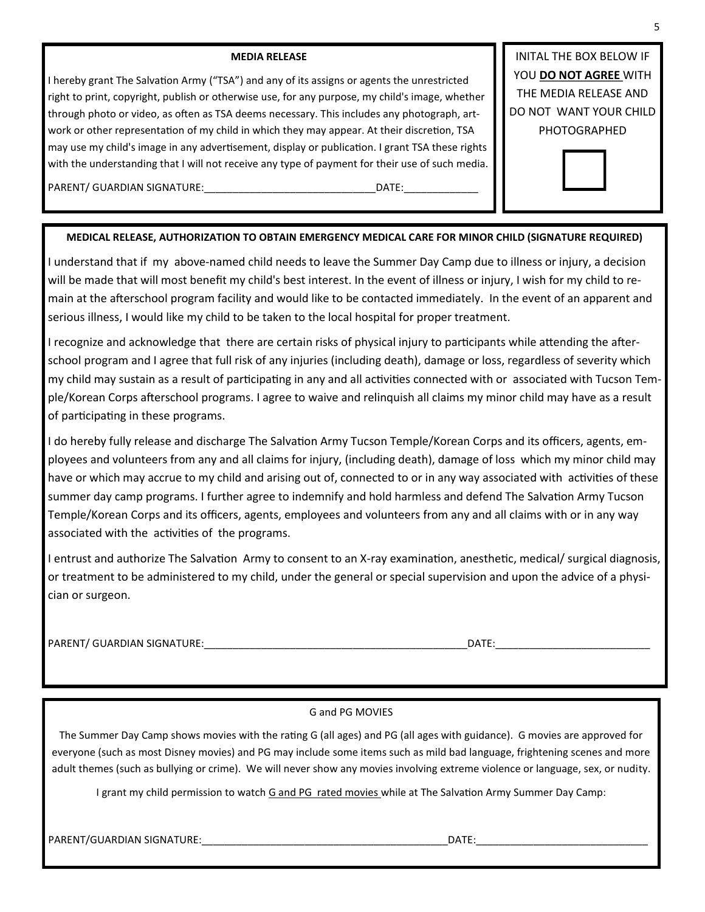#### **MEDIA RELEASE**

I hereby grant The Salvation Army ("TSA") and any of its assigns or agents the unrestricted right to print, copyright, publish or otherwise use, for any purpose, my child's image, whether through photo or video, as often as TSA deems necessary. This includes any photograph, artwork or other representation of my child in which they may appear. At their discretion, TSA may use my child's image in any advertisement, display or publication. I grant TSA these rights with the understanding that I will not receive any type of payment for their use of such media.

INITAL THE BOX BELOW IF YOU **DO NOT AGREE** WITH THE MEDIA RELEASE AND DO NOT WANT YOUR CHILD PHOTOGRAPHED



### PARENT/ GUARDIAN SIGNATURE:\_\_\_\_\_\_\_\_\_\_\_\_\_\_\_\_\_\_\_\_\_\_\_\_\_\_\_\_\_\_DATE:\_\_\_\_\_\_\_\_\_\_\_\_\_

#### **MEDICAL RELEASE, AUTHORIZATION TO OBTAIN EMERGENCY MEDICAL CARE FOR MINOR CHILD (SIGNATURE REQUIRED)**

I understand that if my above-named child needs to leave the Summer Day Camp due to illness or injury, a decision will be made that will most benefit my child's best interest. In the event of illness or injury, I wish for my child to remain at the afterschool program facility and would like to be contacted immediately. In the event of an apparent and serious illness, I would like my child to be taken to the local hospital for proper treatment.

I recognize and acknowledge that there are certain risks of physical injury to participants while attending the afterschool program and I agree that full risk of any injuries (including death), damage or loss, regardless of severity which my child may sustain as a result of participating in any and all activities connected with or associated with Tucson Temple/Korean Corps afterschool programs. I agree to waive and relinquish all claims my minor child may have as a result of participating in these programs.

I do hereby fully release and discharge The Salvation Army Tucson Temple/Korean Corps and its officers, agents, employees and volunteers from any and all claims for injury, (including death), damage of loss which my minor child may have or which may accrue to my child and arising out of, connected to or in any way associated with activities of these summer day camp programs. I further agree to indemnify and hold harmless and defend The Salvation Army Tucson Temple/Korean Corps and its officers, agents, employees and volunteers from any and all claims with or in any way associated with the activities of the programs.

I entrust and authorize The Salvation Army to consent to an X-ray examination, anesthetic, medical/ surgical diagnosis, or treatment to be administered to my child, under the general or special supervision and upon the advice of a physician or surgeon.

PARENT/ GUARDIAN SIGNATURE:\_\_\_\_\_\_\_\_\_\_\_\_\_\_\_\_\_\_\_\_\_\_\_\_\_\_\_\_\_\_\_\_\_\_\_\_\_\_\_\_\_\_\_\_\_\_DATE:\_\_\_\_\_\_\_\_\_\_\_\_\_\_\_\_\_\_\_\_\_\_\_\_\_\_\_

#### G and PG MOVIES

The Summer Day Camp shows movies with the rating G (all ages) and PG (all ages with guidance). G movies are approved for everyone (such as most Disney movies) and PG may include some items such as mild bad language, frightening scenes and more adult themes (such as bullying or crime). We will never show any movies involving extreme violence or language, sex, or nudity.

I grant my child permission to watch G and PG rated movies while at The Salvation Army Summer Day Camp:

PARENT/GUARDIAN SIGNATURE:\_\_\_\_\_\_\_\_\_\_\_\_\_\_\_\_\_\_\_\_\_\_\_\_\_\_\_\_\_\_\_\_\_\_\_\_\_\_\_\_\_\_\_DATE:\_\_\_\_\_\_\_\_\_\_\_\_\_\_\_\_\_\_\_\_\_\_\_\_\_\_\_\_\_\_